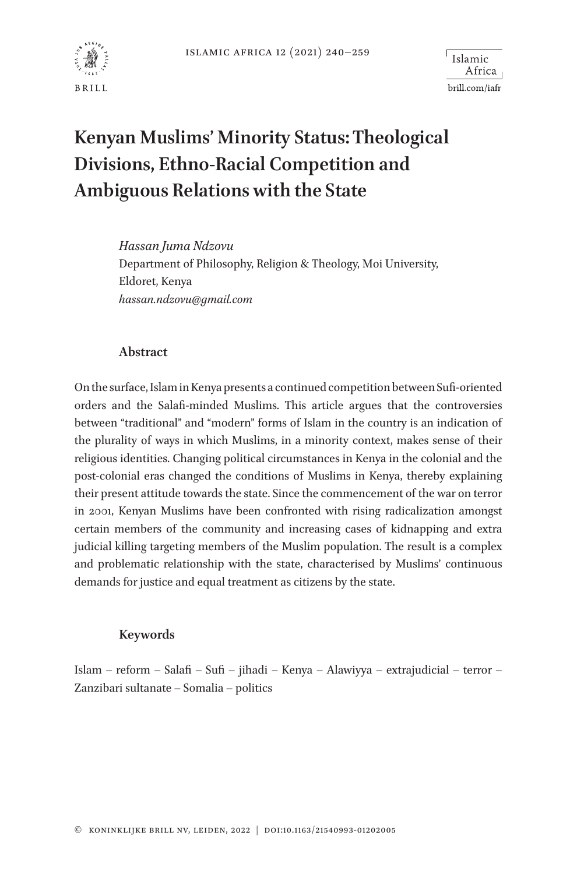

<sup>l</sup> Islamic Africa brill.com/iafr

# **Kenyan Muslims' Minority Status: Theological Divisions, Ethno-Racial Competition and Ambiguous Relations with the State**

*Hassan Juma Ndzovu*  Department of Philosophy, Religion & Theology, Moi University, Eldoret, Kenya *[hassan.ndzovu@gmail.com](mailto:hassan.ndzovu@gmail.com?subject=)*

#### **Abstract**

On the surface, Islam in Kenya presents a continued competition between Sufi-oriented orders and the Salafi-minded Muslims. This article argues that the controversies between "traditional" and "modern" forms of Islam in the country is an indication of the plurality of ways in which Muslims, in a minority context, makes sense of their religious identities. Changing political circumstances in Kenya in the colonial and the post-colonial eras changed the conditions of Muslims in Kenya, thereby explaining their present attitude towards the state. Since the commencement of the war on terror in 2001, Kenyan Muslims have been confronted with rising radicalization amongst certain members of the community and increasing cases of kidnapping and extra judicial killing targeting members of the Muslim population. The result is a complex and problematic relationship with the state, characterised by Muslims' continuous demands for justice and equal treatment as citizens by the state.

#### **Keywords**

Islam – reform – Salafi – Sufi – jihadi – Kenya – Alawiyya – extrajudicial – terror – Zanzibari sultanate – Somalia – politics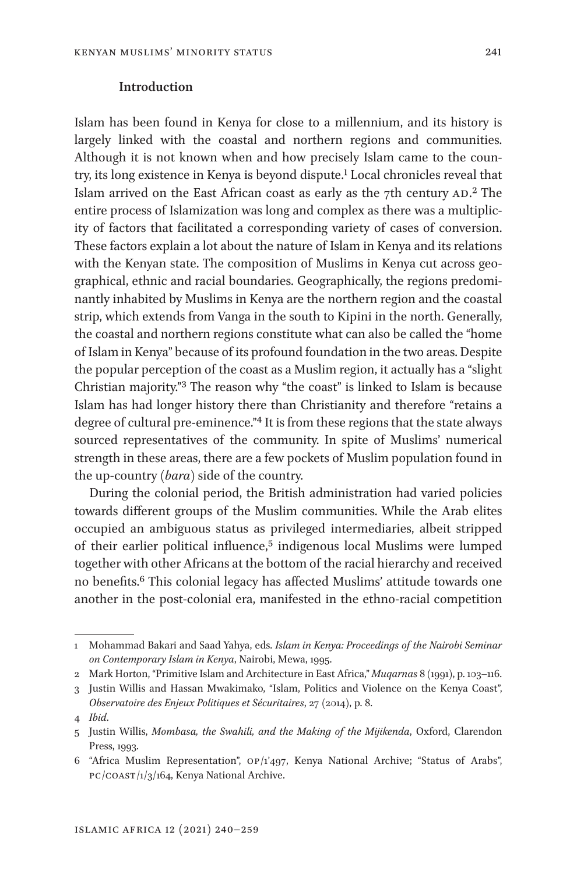#### **Introduction**

Islam has been found in Kenya for close to a millennium, and its history is largely linked with the coastal and northern regions and communities. Although it is not known when and how precisely Islam came to the country, its long existence in Kenya is beyond dispute.<sup>1</sup> Local chronicles reveal that Islam arrived on the East African coast as early as the 7th century  $AD^2$ . The entire process of Islamization was long and complex as there was a multiplicity of factors that facilitated a corresponding variety of cases of conversion. These factors explain a lot about the nature of Islam in Kenya and its relations with the Kenyan state. The composition of Muslims in Kenya cut across geographical, ethnic and racial boundaries. Geographically, the regions predominantly inhabited by Muslims in Kenya are the northern region and the coastal strip, which extends from Vanga in the south to Kipini in the north. Generally, the coastal and northern regions constitute what can also be called the "home of Islam in Kenya" because of its profound foundation in the two areas. Despite the popular perception of the coast as a Muslim region, it actually has a "slight Christian majority.["3](#page-1-2) The reason why "the coast" is linked to Islam is because Islam has had longer history there than Christianity and therefore "retains a degree of cultural pre-eminence."[4](#page-1-3) It is from these regions that the state always sourced representatives of the community. In spite of Muslims' numerical strength in these areas, there are a few pockets of Muslim population found in the up-country (*bara*) side of the country.

During the colonial period, the British administration had varied policies towards different groups of the Muslim communities. While the Arab elites occupied an ambiguous status as privileged intermediaries, albeit stripped of their earlier political influence,<sup>5</sup> indigenous local Muslims were lumped together with other Africans at the bottom of the racial hierarchy and received no benefits[.6](#page-1-5) This colonial legacy has affected Muslims' attitude towards one another in the post-colonial era, manifested in the ethno-racial competition

<span id="page-1-0"></span><sup>1</sup> Mohammad Bakari and Saad Yahya, eds. *Islam in Kenya: Proceedings of the Nairobi Seminar on Contemporary Islam in Kenya*, Nairobi, Mewa, 1995.

<span id="page-1-1"></span><sup>2</sup> Mark Horton, "Primitive Islam and Architecture in East Africa," *Muqarnas* 8 (1991), p. 103–116.

<span id="page-1-2"></span><sup>3</sup> Justin Willis and Hassan Mwakimako, "Islam, Politics and Violence on the Kenya Coast", *Observatoire des Enjeux Politiques et Sécuritaires*, 27 (2014), p. 8.

<span id="page-1-3"></span><sup>4</sup> *Ibid*.

<span id="page-1-4"></span><sup>5</sup> Justin Willis, *Mombasa, the Swahili, and the Making of the Mijikenda*, Oxford, Clarendon Press, 1993.

<span id="page-1-5"></span><sup>6</sup> "Africa Muslim Representation", op/1'497, Kenya National Archive; "Status of Arabs", pc/coast/1/3/164, Kenya National Archive.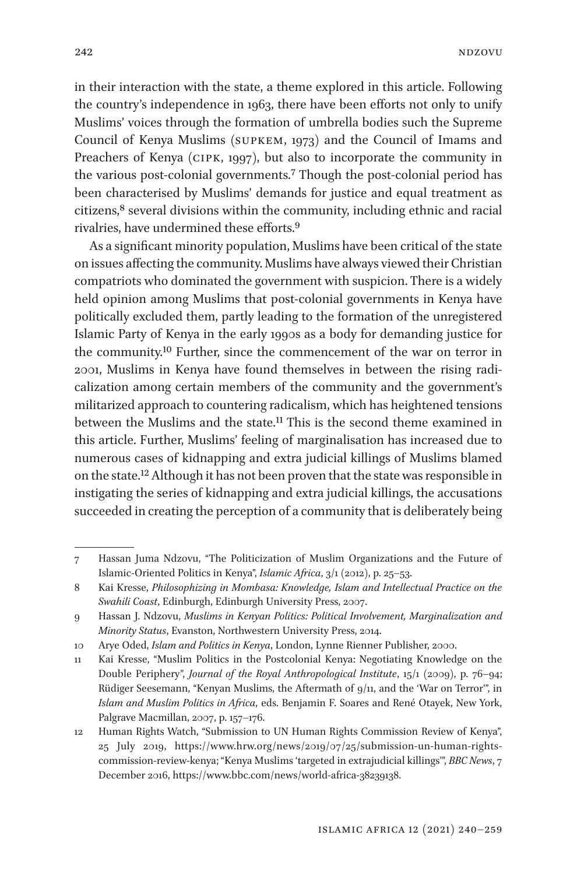in their interaction with the state, a theme explored in this article. Following the country's independence in 1963, there have been efforts not only to unify Muslims' voices through the formation of umbrella bodies such the Supreme Council of Kenya Muslims (supkem, 1973) and the Council of Imams and Preachers of Kenya (cipk, 1997), but also to incorporate the community in the various post-colonial governments.[7](#page-2-0) Though the post-colonial period has been characterised by Muslims' demands for justice and equal treatment as citizens[,8](#page-2-1) several divisions within the community, including ethnic and racial rivalries, have undermined these efforts.[9](#page-2-2)

As a significant minority population, Muslims have been critical of the state on issues affecting the community. Muslims have always viewed their Christian compatriots who dominated the government with suspicion. There is a widely held opinion among Muslims that post-colonial governments in Kenya have politically excluded them, partly leading to the formation of the unregistered Islamic Party of Kenya in the early 1990s as a body for demanding justice for the community[.10](#page-2-3) Further, since the commencement of the war on terror in 2001, Muslims in Kenya have found themselves in between the rising radicalization among certain members of the community and the government's militarized approach to countering radicalism, which has heightened tensions between the Muslims and the state[.11](#page-2-4) This is the second theme examined in this article. Further, Muslims' feeling of marginalisation has increased due to numerous cases of kidnapping and extra judicial killings of Muslims blamed on the state[.12](#page-2-5) Although it has not been proven that the state was responsible in instigating the series of kidnapping and extra judicial killings, the accusations succeeded in creating the perception of a community that is deliberately being

<span id="page-2-0"></span><sup>7</sup> Hassan Juma Ndzovu, "The Politicization of Muslim Organizations and the Future of Islamic-Oriented Politics in Kenya", *Islamic Africa*, 3/1 (2012), p. 25–53.

<span id="page-2-1"></span><sup>8</sup> Kai Kresse, *Philosophizing in Mombasa: Knowledge, Islam and Intellectual Practice on the Swahili Coast*, Edinburgh, Edinburgh University Press, 2007.

<span id="page-2-2"></span><sup>9</sup> Hassan J. Ndzovu, *Muslims in Kenyan Politics: Political Involvement, Marginalization and Minority Status*, Evanston, Northwestern University Press, 2014.

<span id="page-2-3"></span><sup>10</sup> Arye Oded, *Islam and Politics in Kenya*, London, Lynne Rienner Publisher, 2000.

<span id="page-2-4"></span><sup>11</sup> Kai Kresse, "Muslim Politics in the Postcolonial Kenya: Negotiating Knowledge on the Double Periphery", *Journal of the Royal Anthropological Institute*, 15/1 (2009), p. 76–94; Rüdiger Seesemann, "Kenyan Muslims, the Aftermath of 9/11, and the 'War on Terror'", in *Islam and Muslim Politics in Africa*, eds. Benjamin F. Soares and René Otayek, New York, Palgrave Macmillan, 2007, p. 157–176.

<span id="page-2-5"></span><sup>12</sup> Human Rights Watch, "Submission to UN Human Rights Commission Review of Kenya", 25 July 2019, [https://www.hrw.org/news/2019/07/25/submission-un-human-rights](https://www.hrw.org/news/2019/07/25/submission-un-human-rights-commission-review-kenya)[commission-review-kenya;](https://www.hrw.org/news/2019/07/25/submission-un-human-rights-commission-review-kenya) "Kenya Muslims 'targeted in extrajudicial killings'", *BBC News*, 7 December 2016, [https://www.bbc.com/news/world-africa-38239138.](https://www.bbc.com/news/world-africa-38239138)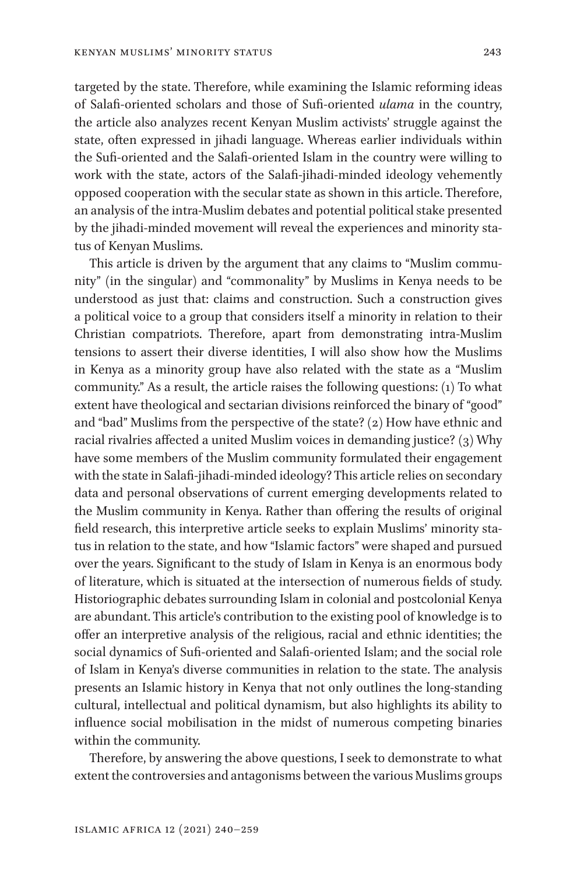targeted by the state. Therefore, while examining the Islamic reforming ideas of Salafi-oriented scholars and those of Sufi-oriented *ulama* in the country, the article also analyzes recent Kenyan Muslim activists' struggle against the state, often expressed in jihadi language. Whereas earlier individuals within the Sufi-oriented and the Salafi-oriented Islam in the country were willing to work with the state, actors of the Salafi-jihadi-minded ideology vehemently opposed cooperation with the secular state as shown in this article. Therefore, an analysis of the intra-Muslim debates and potential political stake presented by the jihadi-minded movement will reveal the experiences and minority status of Kenyan Muslims.

This article is driven by the argument that any claims to "Muslim community" (in the singular) and "commonality" by Muslims in Kenya needs to be understood as just that: claims and construction. Such a construction gives a political voice to a group that considers itself a minority in relation to their Christian compatriots. Therefore, apart from demonstrating intra-Muslim tensions to assert their diverse identities, I will also show how the Muslims in Kenya as a minority group have also related with the state as a "Muslim community." As a result, the article raises the following questions: (1) To what extent have theological and sectarian divisions reinforced the binary of "good" and "bad" Muslims from the perspective of the state? (2) How have ethnic and racial rivalries affected a united Muslim voices in demanding justice? (3) Why have some members of the Muslim community formulated their engagement with the state in Salafi-jihadi-minded ideology? This article relies on secondary data and personal observations of current emerging developments related to the Muslim community in Kenya. Rather than offering the results of original field research, this interpretive article seeks to explain Muslims' minority status in relation to the state, and how "Islamic factors" were shaped and pursued over the years. Significant to the study of Islam in Kenya is an enormous body of literature, which is situated at the intersection of numerous fields of study. Historiographic debates surrounding Islam in colonial and postcolonial Kenya are abundant. This article's contribution to the existing pool of knowledge is to offer an interpretive analysis of the religious, racial and ethnic identities; the social dynamics of Sufi-oriented and Salafi-oriented Islam; and the social role of Islam in Kenya's diverse communities in relation to the state. The analysis presents an Islamic history in Kenya that not only outlines the long-standing cultural, intellectual and political dynamism, but also highlights its ability to influence social mobilisation in the midst of numerous competing binaries within the community.

Therefore, by answering the above questions, I seek to demonstrate to what extent the controversies and antagonisms between the various Muslims groups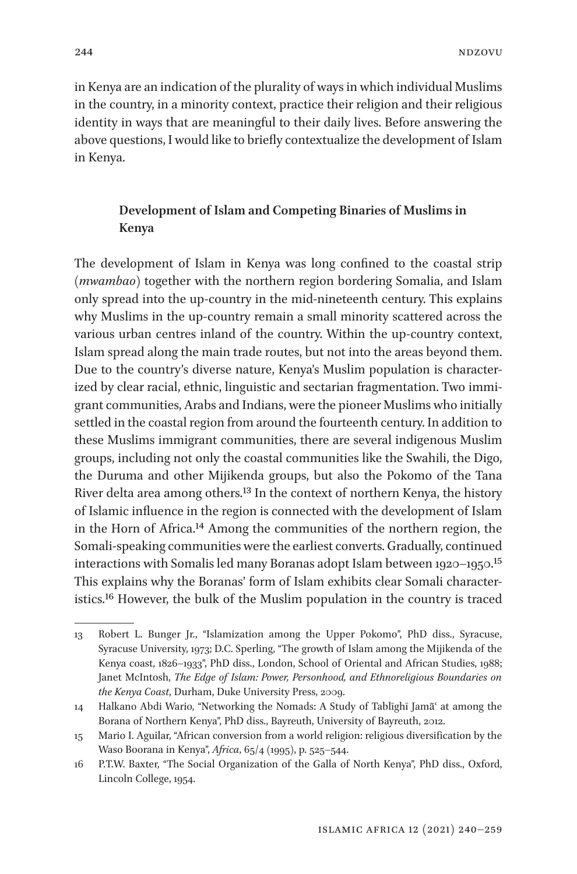in Kenya are an indication of the plurality of ways in which individual Muslims in the country, in a minority context, practice their religion and their religious identity in ways that are meaningful to their daily lives. Before answering the above questions, I would like to briefly contextualize the development of Islam in Kenya.

## **Development of Islam and Competing Binaries of Muslims in Kenya**

The development of Islam in Kenya was long confined to the coastal strip (*mwambao*) together with the northern region bordering Somalia, and Islam only spread into the up-country in the mid-nineteenth century. This explains why Muslims in the up-country remain a small minority scattered across the various urban centres inland of the country. Within the up-country context, Islam spread along the main trade routes, but not into the areas beyond them. Due to the country's diverse nature, Kenya's Muslim population is characterized by clear racial, ethnic, linguistic and sectarian fragmentation. Two immigrant communities, Arabs and Indians, were the pioneer Muslims who initially settled in the coastal region from around the fourteenth century. In addition to these Muslims immigrant communities, there are several indigenous Muslim groups, including not only the coastal communities like the Swahili, the Digo, the Duruma and other Mijikenda groups, but also the Pokomo of the Tana River delta area among others.[13](#page-4-0) In the context of northern Kenya, the history of Islamic influence in the region is connected with the development of Islam in the Horn of Africa.[14](#page-4-1) Among the communities of the northern region, the Somali-speaking communities were the earliest converts. Gradually, continued interactions with Somalis led many Boranas adopt Islam between 1920–1950[.15](#page-4-2) This explains why the Boranas' form of Islam exhibits clear Somali characteristics[.16](#page-4-3) However, the bulk of the Muslim population in the country is traced

<span id="page-4-0"></span><sup>13</sup> Robert L. Bunger Jr., "Islamization among the Upper Pokomo", PhD diss., Syracuse, Syracuse University, 1973; D.C. Sperling, "The growth of Islam among the Mijikenda of the Kenya coast, 1826–1933", PhD diss., London, School of Oriental and African Studies, 1988; Janet McIntosh, *The Edge of Islam: Power, Personhood, and Ethnoreligious Boundaries on the Kenya Coast*, Durham, Duke University Press, 2009.

<span id="page-4-1"></span><sup>14</sup> Halkano Abdi Wario, "Networking the Nomads: A Study of Tablīghī Jamāʿ at among the Borana of Northern Kenya", PhD diss., Bayreuth, University of Bayreuth, 2012.

<span id="page-4-2"></span><sup>15</sup> Mario I. Aguilar, "African conversion from a world religion: religious diversification by the Waso Boorana in Kenya", *Africa*, 65/4 (1995), p. 525–544.

<span id="page-4-3"></span><sup>16</sup> P.T.W. Baxter, "The Social Organization of the Galla of North Kenya", PhD diss., Oxford, Lincoln College, 1954.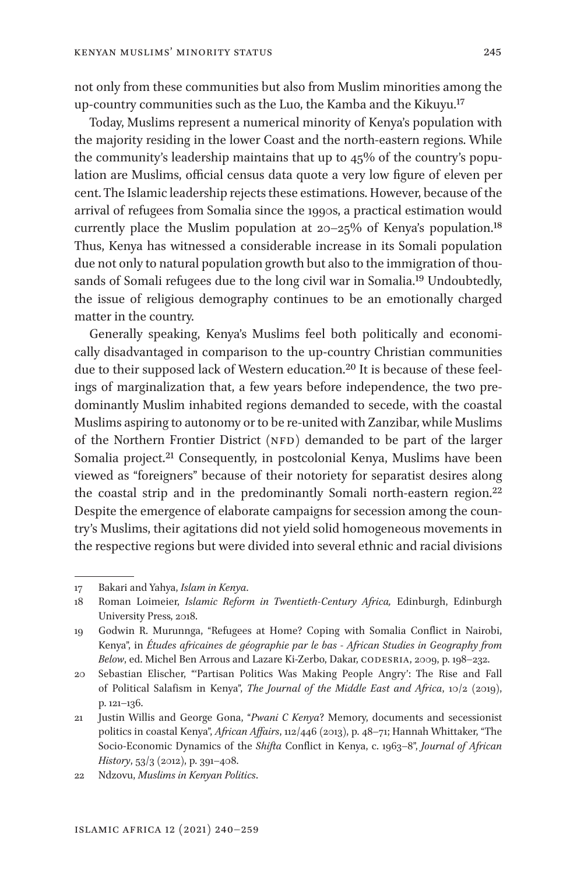not only from these communities but also from Muslim minorities among the up-country communities such as the Luo, the Kamba and the Kikuyu.[17](#page-5-0)

Today, Muslims represent a numerical minority of Kenya's population with the majority residing in the lower Coast and the north-eastern regions. While the community's leadership maintains that up to 45% of the country's population are Muslims, official census data quote a very low figure of eleven per cent. The Islamic leadership rejects these estimations. However, because of the arrival of refugees from Somalia since the 1990s, a practical estimation would currently place the Muslim population at  $20-25\%$  of Kenya's population.<sup>18</sup> Thus, Kenya has witnessed a considerable increase in its Somali population due not only to natural population growth but also to the immigration of thousands of Somali refugees due to the long civil war in Somalia[.19](#page-5-2) Undoubtedly, the issue of religious demography continues to be an emotionally charged matter in the country.

Generally speaking, Kenya's Muslims feel both politically and economically disadvantaged in comparison to the up-country Christian communities due to their supposed lack of Western education[.20](#page-5-3) It is because of these feelings of marginalization that, a few years before independence, the two predominantly Muslim inhabited regions demanded to secede, with the coastal Muslims aspiring to autonomy or to be re-united with Zanzibar, while Muslims of the Northern Frontier District (NFD) demanded to be part of the larger Somalia project.<sup>21</sup> Consequently, in postcolonial Kenya, Muslims have been viewed as "foreigners" because of their notoriety for separatist desires along the coastal strip and in the predominantly Somali north-eastern region[.22](#page-5-5) Despite the emergence of elaborate campaigns for secession among the country's Muslims, their agitations did not yield solid homogeneous movements in the respective regions but were divided into several ethnic and racial divisions

<span id="page-5-0"></span><sup>17</sup> Bakari and Yahya, *Islam in Kenya*.

<span id="page-5-1"></span><sup>18</sup> Roman Loimeier, *Islamic Reform in Twentieth-Century Africa,* Edinburgh, Edinburgh University Press, 2018.

<span id="page-5-2"></span><sup>19</sup> Godwin R. Murunnga, "Refugees at Home? Coping with Somalia Conflict in Nairobi, Kenya", in *Études africaines de géographie par le bas - African Studies in Geography from Below*, ed. Michel Ben Arrous and Lazare Ki-Zerbo, Dakar, codesria, 2009, p. 198–232.

<span id="page-5-3"></span><sup>20</sup> Sebastian Elischer, "'Partisan Politics Was Making People Angry': The Rise and Fall of Political Salafism in Kenya", *The Journal of the Middle East and Africa*, 10/2 (2019), p. 121–136.

<span id="page-5-4"></span><sup>21</sup> Justin Willis and George Gona, "*Pwani C Kenya*? Memory, documents and secessionist politics in coastal Kenya", *African Affairs*, 112/446 (2013), p. 48–71; Hannah Whittaker, "The Socio-Economic Dynamics of the *Shifta* Conflict in Kenya, c. 1963–8", *Journal of African History*, 53/3 (2012), p. 391–408.

<span id="page-5-5"></span><sup>22</sup> Ndzovu, *Muslims in Kenyan Politics*.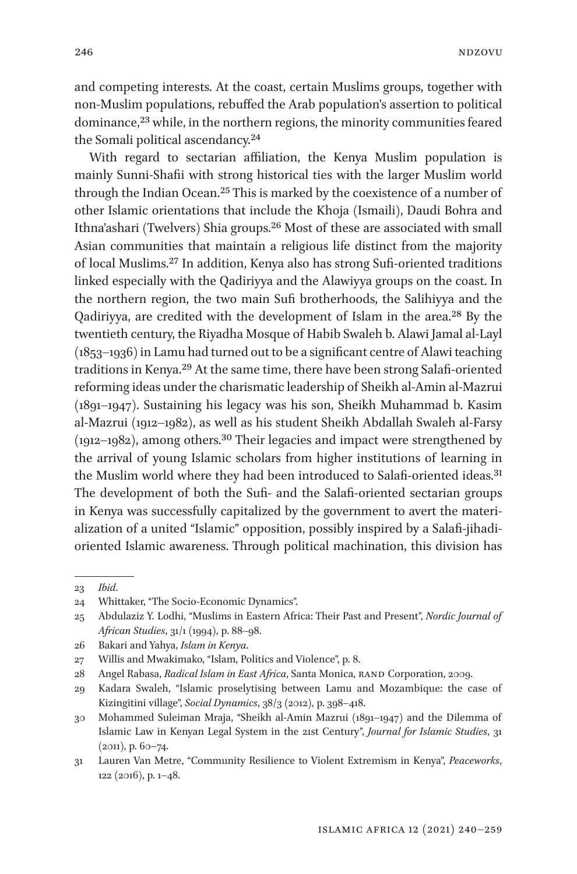and competing interests. At the coast, certain Muslims groups, together with non-Muslim populations, rebuffed the Arab population's assertion to political dominance,<sup>[23](#page-6-0)</sup> while, in the northern regions, the minority communities feared the Somali political ascendancy[.24](#page-6-1)

With regard to sectarian affiliation, the Kenya Muslim population is mainly Sunni-Shafii with strong historical ties with the larger Muslim world through the Indian Ocean.[25](#page-6-2) This is marked by the coexistence of a number of other Islamic orientations that include the Khoja (Ismaili), Daudi Bohra and Ithna'ashari (Twelvers) Shia groups.[26](#page-6-3) Most of these are associated with small Asian communities that maintain a religious life distinct from the majority of local Muslims.[27](#page-6-4) In addition, Kenya also has strong Sufi-oriented traditions linked especially with the Qadiriyya and the Alawiyya groups on the coast. In the northern region, the two main Sufi brotherhoods, the Salihiyya and the Qadiriyya, are credited with the development of Islam in the area.[28](#page-6-5) By the twentieth century, the Riyadha Mosque of Habib Swaleh b. Alawi Jamal al-Layl (1853–1936) in Lamu had turned out to be a significant centre of Alawi teaching traditions in Kenya[.29](#page-6-6) At the same time, there have been strong Salafi-oriented reforming ideas under the charismatic leadership of Sheikh al-Amin al-Mazrui (1891–1947). Sustaining his legacy was his son, Sheikh Muhammad b. Kasim al-Mazrui (1912–1982), as well as his student Sheikh Abdallah Swaleh al-Farsy  $(1912-1982)$ , among others.<sup>30</sup> Their legacies and impact were strengthened by the arrival of young Islamic scholars from higher institutions of learning in the Muslim world where they had been introduced to Salafi-oriented ideas.<sup>31</sup> The development of both the Sufi- and the Salafi-oriented sectarian groups in Kenya was successfully capitalized by the government to avert the materialization of a united "Islamic" opposition, possibly inspired by a Salafi-jihadioriented Islamic awareness. Through political machination, this division has

<span id="page-6-0"></span><sup>23</sup> *Ibid*.

<span id="page-6-1"></span><sup>24</sup> Whittaker, "The Socio-Economic Dynamics".

<span id="page-6-2"></span><sup>25</sup> Abdulaziz Y. Lodhi, "Muslims in Eastern Africa: Their Past and Present", *Nordic Journal of African Studies*, 31/1 (1994), p. 88–98.

<span id="page-6-3"></span><sup>26</sup> Bakari and Yahya, *Islam in Kenya*.

<span id="page-6-4"></span><sup>27</sup> Willis and Mwakimako, "Islam, Politics and Violence", p. 8.

<span id="page-6-5"></span><sup>28</sup> Angel Rabasa, *Radical Islam in East Africa*, Santa Monica, RAND Corporation, 2009.

<span id="page-6-6"></span><sup>29</sup> Kadara Swaleh, "Islamic proselytising between Lamu and Mozambique: the case of Kizingitini village", *Social Dynamics*, 38/3 (2012), p. 398–418.

<span id="page-6-7"></span><sup>30</sup> Mohammed Suleiman Mraja, "Sheikh al-Amin Mazrui (1891–1947) and the Dilemma of Islamic Law in Kenyan Legal System in the 21st Century", *Journal for Islamic Studies*, 31 (2011), p. 60–74.

<span id="page-6-8"></span><sup>31</sup> Lauren Van Metre, "Community Resilience to Violent Extremism in Kenya", *Peaceworks*, 122 (2016), p. 1–48.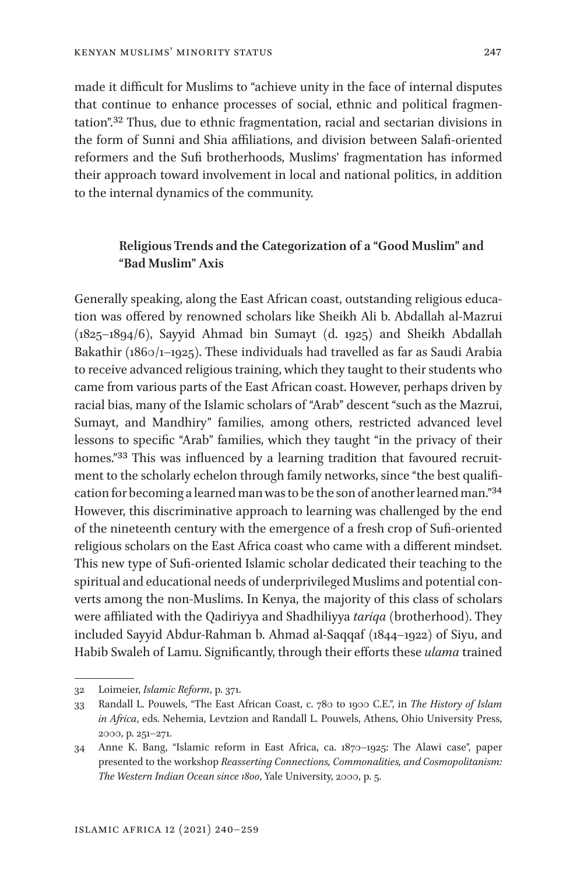made it difficult for Muslims to "achieve unity in the face of internal disputes that continue to enhance processes of social, ethnic and political fragmentation"[.32](#page-7-0) Thus, due to ethnic fragmentation, racial and sectarian divisions in the form of Sunni and Shia affiliations, and division between Salafi-oriented reformers and the Sufi brotherhoods, Muslims' fragmentation has informed their approach toward involvement in local and national politics, in addition to the internal dynamics of the community.

## **Religious Trends and the Categorization of a "Good Muslim" and "Bad Muslim" Axis**

Generally speaking, along the East African coast, outstanding religious education was offered by renowned scholars like Sheikh Ali b. Abdallah al-Mazrui (1825–1894/6), Sayyid Ahmad bin Sumayt (d. 1925) and Sheikh Abdallah Bakathir (1860/1-1925). These individuals had travelled as far as Saudi Arabia to receive advanced religious training, which they taught to their students who came from various parts of the East African coast. However, perhaps driven by racial bias, many of the Islamic scholars of "Arab" descent "such as the Mazrui, Sumayt, and Mandhiry" families, among others, restricted advanced level lessons to specific "Arab" families, which they taught "in the privacy of their homes."<sup>[33](#page-7-1)</sup> This was influenced by a learning tradition that favoured recruitment to the scholarly echelon through family networks, since "the best qualification for becoming a learned man was to be the son of another learned man."[34](#page-7-2) However, this discriminative approach to learning was challenged by the end of the nineteenth century with the emergence of a fresh crop of Sufi-oriented religious scholars on the East Africa coast who came with a different mindset. This new type of Sufi-oriented Islamic scholar dedicated their teaching to the spiritual and educational needs of underprivileged Muslims and potential converts among the non-Muslims. In Kenya, the majority of this class of scholars were affiliated with the Qadiriyya and Shadhiliyya *tariqa* (brotherhood). They included Sayyid Abdur-Rahman b. Ahmad al-Saqqaf (1844–1922) of Siyu, and Habib Swaleh of Lamu. Significantly, through their efforts these *ulama* trained

<span id="page-7-0"></span><sup>32</sup> Loimeier, *Islamic Reform*, p. 371.

<span id="page-7-1"></span><sup>33</sup> Randall L. Pouwels, "The East African Coast, c. 780 to 1900 C.E.", in *The History of Islam in Africa*, eds. Nehemia, Levtzion and Randall L. Pouwels, Athens, Ohio University Press, 2000, p. 251–271.

<span id="page-7-2"></span><sup>34</sup> Anne K. Bang, "Islamic reform in East Africa, ca. 1870–1925: The Alawi case", paper presented to the workshop *Reasserting Connections, Commonalities, and Cosmopolitanism: The Western Indian Ocean since 1800*, Yale University, 2000, p. 5.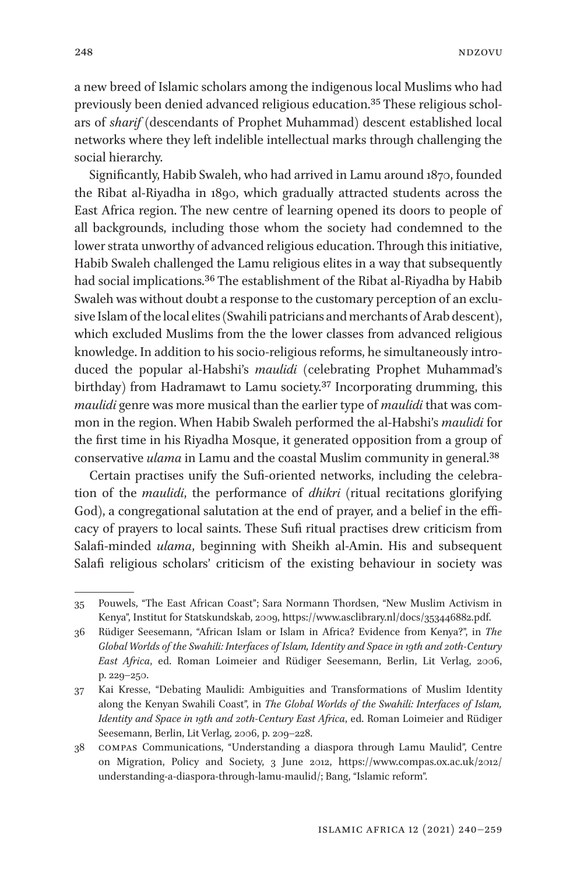a new breed of Islamic scholars among the indigenous local Muslims who had previously been denied advanced religious education[.35](#page-8-0) These religious scholars of *sharif* (descendants of Prophet Muhammad) descent established local networks where they left indelible intellectual marks through challenging the social hierarchy.

Significantly, Habib Swaleh, who had arrived in Lamu around 1870, founded the Ribat al-Riyadha in 1890, which gradually attracted students across the East Africa region. The new centre of learning opened its doors to people of all backgrounds, including those whom the society had condemned to the lower strata unworthy of advanced religious education. Through this initiative, Habib Swaleh challenged the Lamu religious elites in a way that subsequently had social implications.[36](#page-8-1) The establishment of the Ribat al-Riyadha by Habib Swaleh was without doubt a response to the customary perception of an exclusive Islam of the local elites (Swahili patricians and merchants of Arab descent), which excluded Muslims from the the lower classes from advanced religious knowledge. In addition to his socio-religious reforms, he simultaneously introduced the popular al-Habshi's *maulidi* (celebrating Prophet Muhammad's birthday) from Hadramawt to Lamu society.<sup>[37](#page-8-2)</sup> Incorporating drumming, this *maulidi* genre was more musical than the earlier type of *maulidi* that was common in the region. When Habib Swaleh performed the al-Habshi's *maulidi* for the first time in his Riyadha Mosque, it generated opposition from a group of conservative *ulama* in Lamu and the coastal Muslim community in general.[38](#page-8-3)

Certain practises unify the Sufi-oriented networks, including the celebration of the *maulidi*, the performance of *dhikri* (ritual recitations glorifying God), a congregational salutation at the end of prayer, and a belief in the efficacy of prayers to local saints. These Sufi ritual practises drew criticism from Salafi-minded *ulama*, beginning with Sheikh al-Amin. His and subsequent Salafi religious scholars' criticism of the existing behaviour in society was

<span id="page-8-0"></span><sup>35</sup> Pouwels, "The East African Coast"; Sara Normann Thordsen, "New Muslim Activism in Kenya", Institut for Statskundskab, 2009, [https://www.asclibrary.nl/docs/353446882.pdf.](https://www.asclibrary.nl/docs/353446882.pdf)

<span id="page-8-1"></span><sup>36</sup> Rüdiger Seesemann, "African Islam or Islam in Africa? Evidence from Kenya?", in *The Global Worlds of the Swahili: Interfaces of Islam, Identity and Space in 19th and 20th-Century East Africa*, ed. Roman Loimeier and Rüdiger Seesemann, Berlin, Lit Verlag, 2006, p. 229–250.

<span id="page-8-2"></span><sup>37</sup> Kai Kresse, "Debating Maulidi: Ambiguities and Transformations of Muslim Identity along the Kenyan Swahili Coast", in *The Global Worlds of the Swahili: Interfaces of Islam, Identity and Space in 19th and 20th-Century East Africa*, ed. Roman Loimeier and Rüdiger Seesemann, Berlin, Lit Verlag, 2006, p. 209–228.

<span id="page-8-3"></span><sup>38</sup> compas Communications, "Understanding a diaspora through Lamu Maulid", Centre on Migration, Policy and Society, 3 June 2012, [https://www.compas.ox.ac.uk/2012/](https://www.compas.ox.ac.uk/2012/understanding-a-diaspora-through-lamu-maulid/) [understanding-a-diaspora-through-lamu-maulid/](https://www.compas.ox.ac.uk/2012/understanding-a-diaspora-through-lamu-maulid/); Bang, "Islamic reform".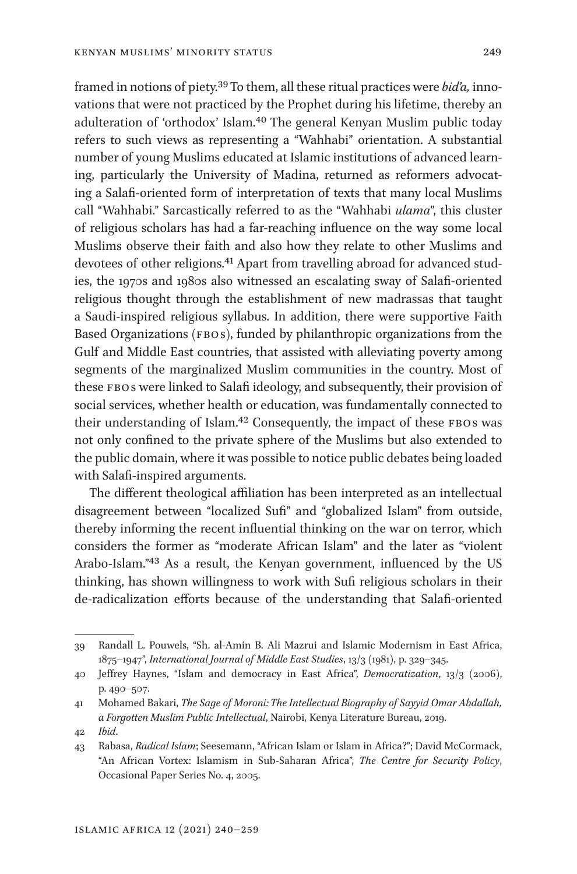framed in notions of piety[.39](#page-9-0) To them, all these ritual practices were *bid'a,* innovations that were not practiced by the Prophet during his lifetime, thereby an adulteration of 'orthodox' Islam.[40](#page-9-1) The general Kenyan Muslim public today refers to such views as representing a "Wahhabi" orientation. A substantial number of young Muslims educated at Islamic institutions of advanced learning, particularly the University of Madina, returned as reformers advocating a Salafi-oriented form of interpretation of texts that many local Muslims call "Wahhabi." Sarcastically referred to as the "Wahhabi *ulama*", this cluster of religious scholars has had a far-reaching influence on the way some local Muslims observe their faith and also how they relate to other Muslims and devotees of other religions[.41](#page-9-2) Apart from travelling abroad for advanced studies, the 1970s and 1980s also witnessed an escalating sway of Salafi-oriented religious thought through the establishment of new madrassas that taught a Saudi-inspired religious syllabus. In addition, there were supportive Faith Based Organizations (FBOs), funded by philanthropic organizations from the Gulf and Middle East countries, that assisted with alleviating poverty among segments of the marginalized Muslim communities in the country. Most of these FBO<sub>s</sub> were linked to Salafi ideology, and subsequently, their provision of social services, whether health or education, was fundamentally connected to their understanding of Islam.<sup>[42](#page-9-3)</sup> Consequently, the impact of these FBOs was not only confined to the private sphere of the Muslims but also extended to the public domain, where it was possible to notice public debates being loaded with Salafi-inspired arguments.

The different theological affiliation has been interpreted as an intellectual disagreement between "localized Sufi" and "globalized Islam" from outside, thereby informing the recent influential thinking on the war on terror, which considers the former as "moderate African Islam" and the later as "violent Arabo-Islam."[43](#page-9-4) As a result, the Kenyan government, influenced by the US thinking, has shown willingness to work with Sufi religious scholars in their de-radicalization efforts because of the understanding that Salafi-oriented

<span id="page-9-0"></span><sup>39</sup> Randall L. Pouwels, "Sh. al-Amin B. Ali Mazrui and Islamic Modernism in East Africa, 1875–1947", *International Journal of Middle East Studies*, 13/3 (1981), p. 329–345.

<span id="page-9-1"></span><sup>40</sup> Jeffrey Haynes, "Islam and democracy in East Africa", *Democratization*, 13/3 (2006), p. 490–507.

<span id="page-9-2"></span><sup>41</sup> Mohamed Bakari, *The Sage of Moroni: The Intellectual Biography of Sayyid Omar Abdallah, a Forgotten Muslim Public Intellectual*, Nairobi, Kenya Literature Bureau, 2019.

<span id="page-9-3"></span><sup>42</sup> *Ibid*.

<span id="page-9-4"></span><sup>43</sup> Rabasa, *Radical Islam*; Seesemann, "African Islam or Islam in Africa?"; David McCormack, "An African Vortex: Islamism in Sub-Saharan Africa", *The Centre for Security Policy*, Occasional Paper Series No. 4, 2005.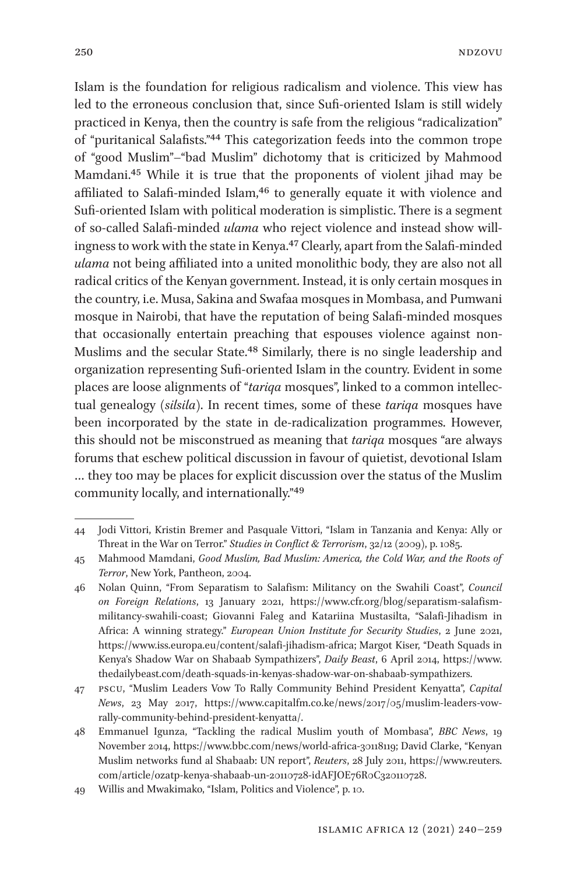Islam is the foundation for religious radicalism and violence. This view has led to the erroneous conclusion that, since Sufi-oriented Islam is still widely practiced in Kenya, then the country is safe from the religious "radicalization" of "puritanical Salafists.["44](#page-10-0) This categorization feeds into the common trope of "good Muslim"–"bad Muslim" dichotomy that is criticized by Mahmood Mamdani.[45](#page-10-1) While it is true that the proponents of violent jihad may be affiliated to Salafi-minded Islam,<sup>46</sup> to generally equate it with violence and Sufi-oriented Islam with political moderation is simplistic. There is a segment of so-called Salafi-minded *ulama* who reject violence and instead show willingness to work with the state in Kenya[.47](#page-10-3) Clearly, apart from the Salafi-minded *ulama* not being affiliated into a united monolithic body, they are also not all radical critics of the Kenyan government. Instead, it is only certain mosques in the country, i.e. Musa, Sakina and Swafaa mosques in Mombasa, and Pumwani mosque in Nairobi, that have the reputation of being Salafi-minded mosques that occasionally entertain preaching that espouses violence against non-Muslims and the secular State.[48](#page-10-4) Similarly, there is no single leadership and organization representing Sufi-oriented Islam in the country. Evident in some places are loose alignments of "*tariqa* mosques", linked to a common intellectual genealogy (*silsila*). In recent times, some of these *tariqa* mosques have been incorporated by the state in de-radicalization programmes. However, this should not be misconstrued as meaning that *tariqa* mosques "are always forums that eschew political discussion in favour of quietist, devotional Islam … they too may be places for explicit discussion over the status of the Muslim community locally, and internationally."[49](#page-10-5)

<span id="page-10-0"></span><sup>44</sup> Jodi Vittori, Kristin Bremer and Pasquale Vittori, "Islam in Tanzania and Kenya: Ally or Threat in the War on Terror." *Studies in Conflict & Terrorism*, 32/12 (2009), p. 1085.

<span id="page-10-1"></span><sup>45</sup> Mahmood Mamdani, *Good Muslim, Bad Muslim: America, the Cold War, and the Roots of Terror*, New York, Pantheon, 2004.

<span id="page-10-2"></span><sup>46</sup> Nolan Quinn, "From Separatism to Salafism: Militancy on the Swahili Coast", *Council on Foreign Relations*, 13 January 2021, [https://www.cfr.org/blog/separatism-salafism](https://www.cfr.org/blog/separatism-salafism-militancy-swahili-coast)[militancy-swahili-coast](https://www.cfr.org/blog/separatism-salafism-militancy-swahili-coast); Giovanni Faleg and Katariina Mustasilta, "Salafi-Jihadism in Africa: A winning strategy." *European Union Institute for Security Studies*, 2 June 2021, [https://www.iss.europa.eu/content/salafi-jihadism-africa;](https://www.iss.europa.eu/content/salafi-jihadism-africa) Margot Kiser, "Death Squads in Kenya's Shadow War on Shabaab Sympathizers", *Daily Beast*, 6 April 2014, [https://www.](https://www.thedailybeast.com/death-squads-in-kenyas-shadow-war-on-shabaab-sympathizers) [thedailybeast.com/death-squads-in-kenyas-shadow-war-on-shabaab-sympathizers](https://www.thedailybeast.com/death-squads-in-kenyas-shadow-war-on-shabaab-sympathizers).

<span id="page-10-3"></span><sup>47</sup> pscu, "Muslim Leaders Vow To Rally Community Behind President Kenyatta", *Capital News*, 23 May 2017, [https://www.capitalfm.co.ke/news/2017/05/muslim-leaders-vow](https://www.capitalfm.co.ke/news/2017/05/muslim-leaders-vow-rally-community-behind-president-kenyatta/)[rally-community-behind-president-kenyatta/](https://www.capitalfm.co.ke/news/2017/05/muslim-leaders-vow-rally-community-behind-president-kenyatta/).

<span id="page-10-4"></span><sup>48</sup> Emmanuel Igunza, "Tackling the radical Muslim youth of Mombasa", *BBC News*, 19 November 2014, [https://www.bbc.com/news/world-africa-30118119;](https://www.bbc.com/news/world-africa-30118119) David Clarke, "Kenyan Muslim networks fund al Shabaab: UN report", *Reuters*, 28 July 2011, [https://www.reuters.](https://www.reuters.com/article/ozatp-kenya-shabaab-un-20110728-idAFJOE76R0C320110728) [com/article/ozatp-kenya-shabaab-un-20110728-idAFJOE76R0C320110728](https://www.reuters.com/article/ozatp-kenya-shabaab-un-20110728-idAFJOE76R0C320110728).

<span id="page-10-5"></span><sup>49</sup> Willis and Mwakimako, "Islam, Politics and Violence", p. 10.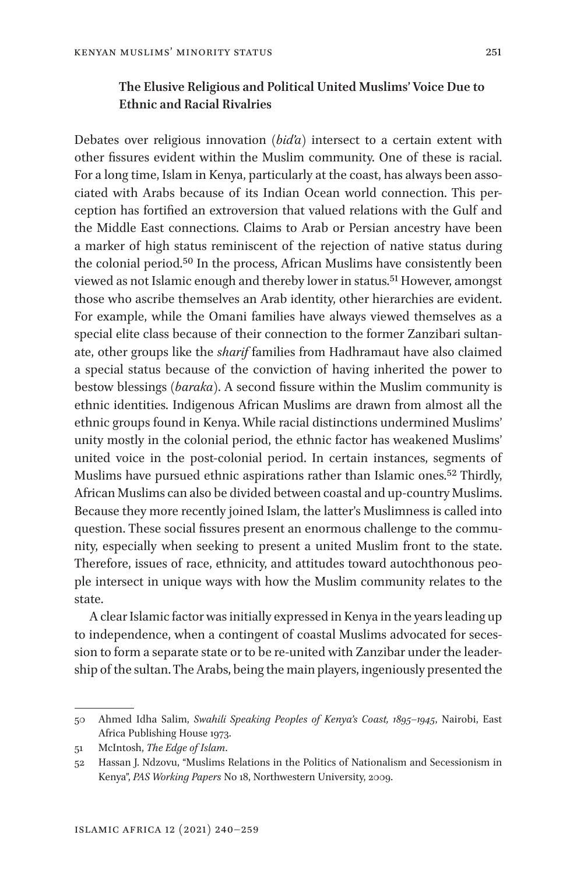## **The Elusive Religious and Political United Muslims' Voice Due to Ethnic and Racial Rivalries**

Debates over religious innovation (*bid'a*) intersect to a certain extent with other fissures evident within the Muslim community. One of these is racial. For a long time, Islam in Kenya, particularly at the coast, has always been associated with Arabs because of its Indian Ocean world connection. This perception has fortified an extroversion that valued relations with the Gulf and the Middle East connections. Claims to Arab or Persian ancestry have been a marker of high status reminiscent of the rejection of native status during the colonial period[.50](#page-11-0) In the process, African Muslims have consistently been viewed as not Islamic enough and thereby lower in status.[51](#page-11-1) However, amongst those who ascribe themselves an Arab identity, other hierarchies are evident. For example, while the Omani families have always viewed themselves as a special elite class because of their connection to the former Zanzibari sultanate, other groups like the *sharif* families from Hadhramaut have also claimed a special status because of the conviction of having inherited the power to bestow blessings (*baraka*). A second fissure within the Muslim community is ethnic identities. Indigenous African Muslims are drawn from almost all the ethnic groups found in Kenya. While racial distinctions undermined Muslims' unity mostly in the colonial period, the ethnic factor has weakened Muslims' united voice in the post-colonial period. In certain instances, segments of Muslims have pursued ethnic aspirations rather than Islamic ones[.52](#page-11-2) Thirdly, African Muslims can also be divided between coastal and up-country Muslims. Because they more recently joined Islam, the latter's Muslimness is called into question. These social fissures present an enormous challenge to the community, especially when seeking to present a united Muslim front to the state. Therefore, issues of race, ethnicity, and attitudes toward autochthonous people intersect in unique ways with how the Muslim community relates to the state.

A clear Islamic factor was initially expressed in Kenya in the years leading up to independence, when a contingent of coastal Muslims advocated for secession to form a separate state or to be re-united with Zanzibar under the leadership of the sultan. The Arabs, being the main players, ingeniously presented the

<span id="page-11-0"></span><sup>50</sup> Ahmed Idha Salim, *Swahili Speaking Peoples of Kenya's Coast, 1895–1945*, Nairobi, East Africa Publishing House 1973.

<span id="page-11-1"></span><sup>51</sup> McIntosh, *The Edge of Islam*.

<span id="page-11-2"></span><sup>52</sup> Hassan J. Ndzovu, "Muslims Relations in the Politics of Nationalism and Secessionism in Kenya", *PAS Working Papers* No 18, Northwestern University, 2009.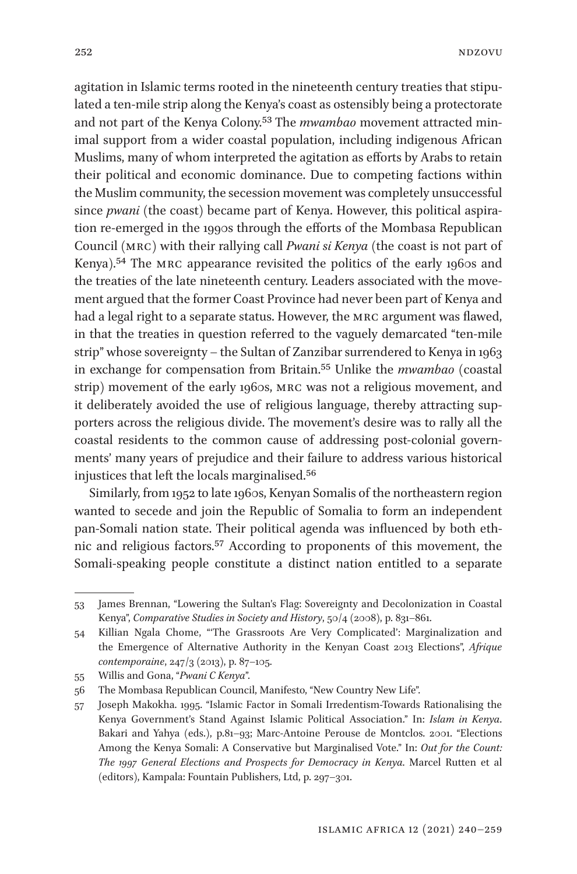agitation in Islamic terms rooted in the nineteenth century treaties that stipulated a ten-mile strip along the Kenya's coast as ostensibly being a protectorate and not part of the Kenya Colony.[53](#page-12-0) The *mwambao* movement attracted minimal support from a wider coastal population, including indigenous African Muslims, many of whom interpreted the agitation as efforts by Arabs to retain

their political and economic dominance. Due to competing factions within the Muslim community, the secession movement was completely unsuccessful since *pwani* (the coast) became part of Kenya. However, this political aspiration re-emerged in the 1990s through the efforts of the Mombasa Republican Council (mrc) with their rallying call *Pwani si Kenya* (the coast is not part of Kenya).<sup>54</sup> The MRC appearance revisited the politics of the early 1960s and the treaties of the late nineteenth century. Leaders associated with the movement argued that the former Coast Province had never been part of Kenya and had a legal right to a separate status. However, the mrc argument was flawed, in that the treaties in question referred to the vaguely demarcated "ten-mile strip" whose sovereignty – the Sultan of Zanzibar surrendered to Kenya in 1963 in exchange for compensation from Britain[.55](#page-12-2) Unlike the *mwambao* (coastal strip) movement of the early 1960s, mrc was not a religious movement, and it deliberately avoided the use of religious language, thereby attracting supporters across the religious divide. The movement's desire was to rally all the coastal residents to the common cause of addressing post-colonial governments' many years of prejudice and their failure to address various historical injustices that left the locals marginalised[.56](#page-12-3)

Similarly, from 1952 to late 1960s, Kenyan Somalis of the northeastern region wanted to secede and join the Republic of Somalia to form an independent pan-Somali nation state. Their political agenda was influenced by both ethnic and religious factors[.57](#page-12-4) According to proponents of this movement, the Somali-speaking people constitute a distinct nation entitled to a separate

<span id="page-12-0"></span><sup>53</sup> James Brennan, "Lowering the Sultan's Flag: Sovereignty and Decolonization in Coastal Kenya", *Comparative Studies in Society and History*, 50/4 (2008), p. 831–861.

<span id="page-12-1"></span><sup>54</sup> Killian Ngala Chome, "'The Grassroots Are Very Complicated': Marginalization and the Emergence of Alternative Authority in the Kenyan Coast 2013 Elections", *Afrique contemporaine*, 247/3 (2013), p. 87–105.

<span id="page-12-2"></span><sup>55</sup> Willis and Gona, "*Pwani C Kenya*".

<span id="page-12-3"></span><sup>56</sup> The Mombasa Republican Council, Manifesto, "New Country New Life".

<span id="page-12-4"></span><sup>57</sup> Joseph Makokha. 1995. "Islamic Factor in Somali Irredentism-Towards Rationalising the Kenya Government's Stand Against Islamic Political Association." In: *Islam in Kenya*. Bakari and Yahya (eds.), p.81–93; Marc-Antoine Perouse de Montclos. 2001. "Elections Among the Kenya Somali: A Conservative but Marginalised Vote." In: *Out for the Count: The 1997 General Elections and Prospects for Democracy in Kenya*. Marcel Rutten et al (editors), Kampala: Fountain Publishers, Ltd, p. 297–301.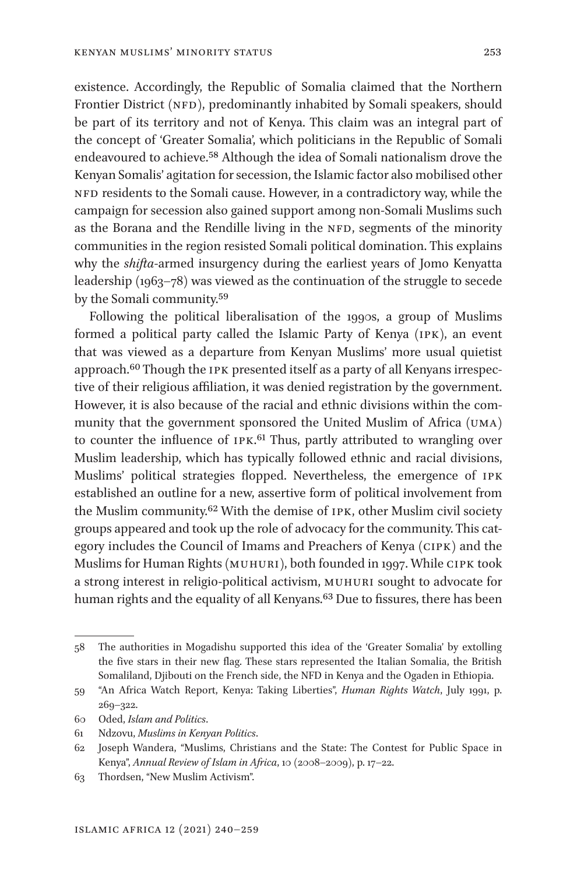existence. Accordingly, the Republic of Somalia claimed that the Northern Frontier District (NFD), predominantly inhabited by Somali speakers, should be part of its territory and not of Kenya. This claim was an integral part of the concept of 'Greater Somalia', which politicians in the Republic of Somali endeavoured to achieve.[58](#page-13-0) Although the idea of Somali nationalism drove the Kenyan Somalis' agitation for secession, the Islamic factor also mobilised other NFD residents to the Somali cause. However, in a contradictory way, while the campaign for secession also gained support among non-Somali Muslims such as the Borana and the Rendille living in the NFD, segments of the minority communities in the region resisted Somali political domination. This explains why the *shifta*-armed insurgency during the earliest years of Jomo Kenyatta leadership (1963–78) was viewed as the continuation of the struggle to secede by the Somali community[.59](#page-13-1)

Following the political liberalisation of the 1990s, a group of Muslims formed a political party called the Islamic Party of Kenya (ipk), an event that was viewed as a departure from Kenyan Muslims' more usual quietist approach.<sup>60</sup> Though the IPK presented itself as a party of all Kenyans irrespective of their religious affiliation, it was denied registration by the government. However, it is also because of the racial and ethnic divisions within the community that the government sponsored the United Muslim of Africa (uma) to counter the influence of IPK.<sup>[61](#page-13-3)</sup> Thus, partly attributed to wrangling over Muslim leadership, which has typically followed ethnic and racial divisions, Muslims' political strategies flopped. Nevertheless, the emergence of ipk established an outline for a new, assertive form of political involvement from the Muslim community[.62](#page-13-4) With the demise of ipk, other Muslim civil society groups appeared and took up the role of advocacy for the community. This category includes the Council of Imams and Preachers of Kenya (cipk) and the Muslims for Human Rights (MUHURI), both founded in 1997. While CIPK took a strong interest in religio-political activism, muhuri sought to advocate for human rights and the equality of all Kenyans.<sup>63</sup> Due to fissures, there has been

<span id="page-13-2"></span>60 Oded, *Islam and Politics*.

<span id="page-13-0"></span><sup>58</sup> The authorities in Mogadishu supported this idea of the 'Greater Somalia' by extolling the five stars in their new flag. These stars represented the Italian Somalia, the British Somaliland, Djibouti on the French side, the NFD in Kenya and the Ogaden in Ethiopia.

<span id="page-13-1"></span><sup>59</sup> "An Africa Watch Report, Kenya: Taking Liberties", *Human Rights Watch*, July 1991, p. 269–322.

<span id="page-13-3"></span><sup>61</sup> Ndzovu, *Muslims in Kenyan Politics*.

<span id="page-13-4"></span><sup>62</sup> Joseph Wandera, "Muslims, Christians and the State: The Contest for Public Space in Kenya", *Annual Review of Islam in Africa*, 10 (2008–2009), p. 17–22.

<span id="page-13-5"></span><sup>63</sup> Thordsen, "New Muslim Activism".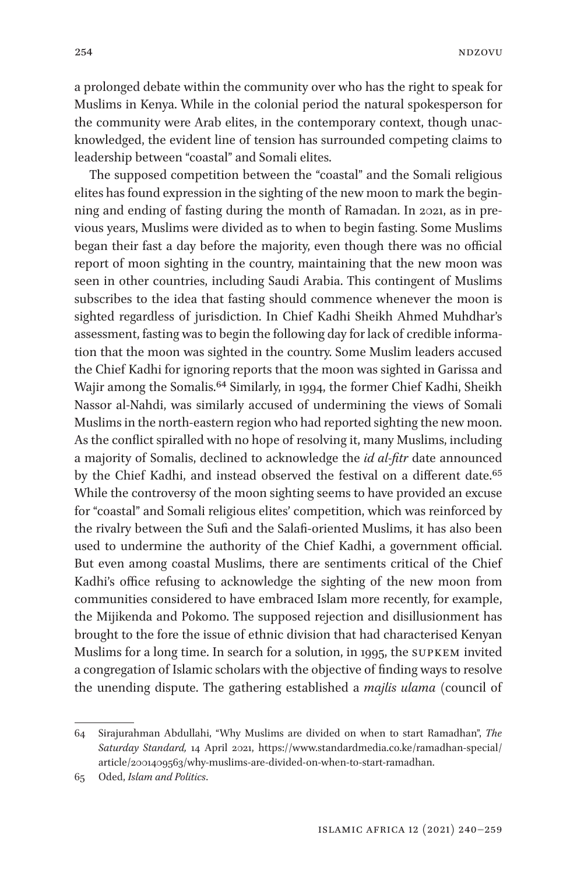a prolonged debate within the community over who has the right to speak for Muslims in Kenya. While in the colonial period the natural spokesperson for the community were Arab elites, in the contemporary context, though unacknowledged, the evident line of tension has surrounded competing claims to leadership between "coastal" and Somali elites.

The supposed competition between the "coastal" and the Somali religious elites has found expression in the sighting of the new moon to mark the beginning and ending of fasting during the month of Ramadan. In 2021, as in previous years, Muslims were divided as to when to begin fasting. Some Muslims began their fast a day before the majority, even though there was no official report of moon sighting in the country, maintaining that the new moon was seen in other countries, including Saudi Arabia. This contingent of Muslims subscribes to the idea that fasting should commence whenever the moon is sighted regardless of jurisdiction. In Chief Kadhi Sheikh Ahmed Muhdhar's assessment, fasting was to begin the following day for lack of credible information that the moon was sighted in the country. Some Muslim leaders accused the Chief Kadhi for ignoring reports that the moon was sighted in Garissa and Wajir among the Somalis.[64](#page-14-0) Similarly, in 1994, the former Chief Kadhi, Sheikh Nassor al-Nahdi, was similarly accused of undermining the views of Somali Muslims in the north-eastern region who had reported sighting the new moon. As the conflict spiralled with no hope of resolving it, many Muslims, including a majority of Somalis, declined to acknowledge the *id al-fitr* date announced by the Chief Kadhi, and instead observed the festival on a different date.<sup>[65](#page-14-1)</sup> While the controversy of the moon sighting seems to have provided an excuse for "coastal" and Somali religious elites' competition, which was reinforced by the rivalry between the Sufi and the Salafi-oriented Muslims, it has also been used to undermine the authority of the Chief Kadhi, a government official. But even among coastal Muslims, there are sentiments critical of the Chief Kadhi's office refusing to acknowledge the sighting of the new moon from communities considered to have embraced Islam more recently, for example, the Mijikenda and Pokomo. The supposed rejection and disillusionment has brought to the fore the issue of ethnic division that had characterised Kenyan Muslims for a long time. In search for a solution, in 1995, the supkem invited a congregation of Islamic scholars with the objective of finding ways to resolve the unending dispute. The gathering established a *majlis ulama* (council of

<span id="page-14-0"></span><sup>64</sup> Sirajurahman Abdullahi, "Why Muslims are divided on when to start Ramadhan", *The Saturday Standard,* 14 April 2021, [https://www.standardmedia.co.ke/ramadhan-special/](https://www.standardmedia.co.ke/ramadhan-special/article/2001409563/why-muslims-are-divided-on-when-to-start-ramadhan) [article/2001409563/why-muslims-are-divided-on-when-to-start-ramadhan](https://www.standardmedia.co.ke/ramadhan-special/article/2001409563/why-muslims-are-divided-on-when-to-start-ramadhan).

<span id="page-14-1"></span><sup>65</sup> Oded, *Islam and Politics*.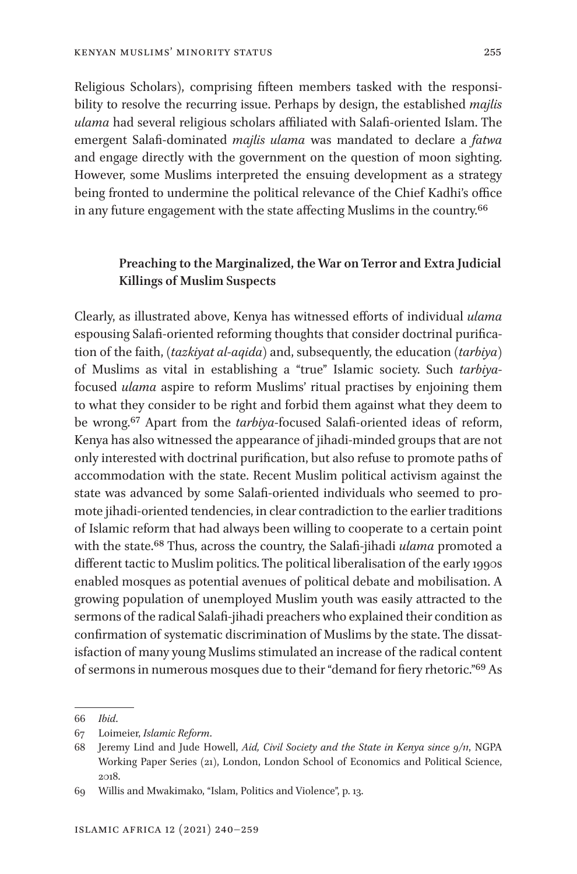Religious Scholars), comprising fifteen members tasked with the responsibility to resolve the recurring issue. Perhaps by design, the established *majlis ulama* had several religious scholars affiliated with Salafi-oriented Islam. The emergent Salafi-dominated *majlis ulama* was mandated to declare a *fatwa* and engage directly with the government on the question of moon sighting. However, some Muslims interpreted the ensuing development as a strategy being fronted to undermine the political relevance of the Chief Kadhi's office in any future engagement with the state affecting Muslims in the country.[66](#page-15-0)

## **Preaching to the Marginalized, the War on Terror and Extra Judicial Killings of Muslim Suspects**

Clearly, as illustrated above, Kenya has witnessed efforts of individual *ulama* espousing Salafi-oriented reforming thoughts that consider doctrinal purification of the faith, (*tazkiyat al*-*aqida*) and, subsequently, the education (*tarbiya*) of Muslims as vital in establishing a "true" Islamic society. Such *tarbiya*focused *ulama* aspire to reform Muslims' ritual practises by enjoining them to what they consider to be right and forbid them against what they deem to be wrong[.67](#page-15-1) Apart from the *tarbiya*-focused Salafi-oriented ideas of reform, Kenya has also witnessed the appearance of jihadi-minded groups that are not only interested with doctrinal purification, but also refuse to promote paths of accommodation with the state. Recent Muslim political activism against the state was advanced by some Salafi-oriented individuals who seemed to promote jihadi-oriented tendencies, in clear contradiction to the earlier traditions of Islamic reform that had always been willing to cooperate to a certain point with the state[.68](#page-15-2) Thus, across the country, the Salafi-jihadi *ulama* promoted a different tactic to Muslim politics. The political liberalisation of the early 1990s enabled mosques as potential avenues of political debate and mobilisation. A growing population of unemployed Muslim youth was easily attracted to the sermons of the radical Salafi-jihadi preachers who explained their condition as confirmation of systematic discrimination of Muslims by the state. The dissatisfaction of many young Muslims stimulated an increase of the radical content of sermons in numerous mosques due to their "demand for fiery rhetoric.["69](#page-15-3) As

<span id="page-15-0"></span><sup>66</sup> *Ibid*.

<span id="page-15-1"></span><sup>67</sup> Loimeier, *Islamic Reform*.

<span id="page-15-2"></span><sup>68</sup> Jeremy Lind and Jude Howell, *Aid, Civil Society and the State in Kenya since 9/11*, NGPA Working Paper Series (21), London, London School of Economics and Political Science, 2018.

<span id="page-15-3"></span><sup>69</sup> Willis and Mwakimako, "Islam, Politics and Violence", p. 13.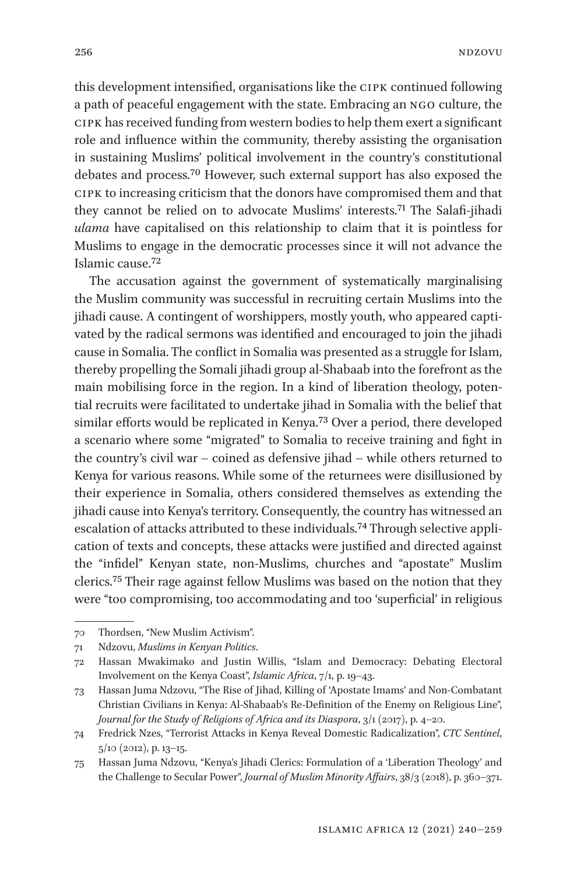this development intensified, organisations like the cipk continued following a path of peaceful engagement with the state. Embracing an ngo culture, the cipk has received funding from western bodies to help them exert a significant role and influence within the community, thereby assisting the organisation in sustaining Muslims' political involvement in the country's constitutional debates and process.[70](#page-16-0) However, such external support has also exposed the cipk to increasing criticism that the donors have compromised them and that they cannot be relied on to advocate Muslims' interests.[71](#page-16-1) The Salafi-jihadi *ulama* have capitalised on this relationship to claim that it is pointless for Muslims to engage in the democratic processes since it will not advance the Islamic cause[.72](#page-16-2)

The accusation against the government of systematically marginalising the Muslim community was successful in recruiting certain Muslims into the jihadi cause. A contingent of worshippers, mostly youth, who appeared captivated by the radical sermons was identified and encouraged to join the jihadi cause in Somalia. The conflict in Somalia was presented as a struggle for Islam, thereby propelling the Somali jihadi group al-Shabaab into the forefront as the main mobilising force in the region. In a kind of liberation theology, potential recruits were facilitated to undertake jihad in Somalia with the belief that similar efforts would be replicated in Kenya.[73](#page-16-3) Over a period, there developed a scenario where some "migrated" to Somalia to receive training and fight in the country's civil war – coined as defensive jihad – while others returned to Kenya for various reasons. While some of the returnees were disillusioned by their experience in Somalia, others considered themselves as extending the jihadi cause into Kenya's territory. Consequently, the country has witnessed an escalation of attacks attributed to these individuals[.74](#page-16-4) Through selective application of texts and concepts, these attacks were justified and directed against the "infidel" Kenyan state, non-Muslims, churches and "apostate" Muslim clerics.[75](#page-16-5) Their rage against fellow Muslims was based on the notion that they were "too compromising, too accommodating and too 'superficial' in religious

<span id="page-16-0"></span><sup>70</sup> Thordsen, "New Muslim Activism".

<span id="page-16-1"></span><sup>71</sup> Ndzovu, *Muslims in Kenyan Politics*.

<span id="page-16-2"></span><sup>72</sup> Hassan Mwakimako and Justin Willis, "Islam and Democracy: Debating Electoral Involvement on the Kenya Coast", *Islamic Africa*, 7/1, p. 19–43.

<span id="page-16-3"></span><sup>73</sup> Hassan Juma Ndzovu, "The Rise of Jihad, Killing of 'Apostate Imams' and Non-Combatant Christian Civilians in Kenya: Al-Shabaab's Re-Definition of the Enemy on Religious Line", *Journal for the Study of Religions of Africa and its Diaspora*, 3/1 (2017), p. 4–20.

<span id="page-16-4"></span><sup>74</sup> Fredrick Nzes, "Terrorist Attacks in Kenya Reveal Domestic Radicalization", *CTC Sentinel*, 5/10 (2012), p. 13–15.

<span id="page-16-5"></span><sup>75</sup> Hassan Juma Ndzovu, "Kenya's Jihadi Clerics: Formulation of a 'Liberation Theology' and the Challenge to Secular Power", *Journal of Muslim Minority Affairs*, 38/3 (2018), p. 360–371.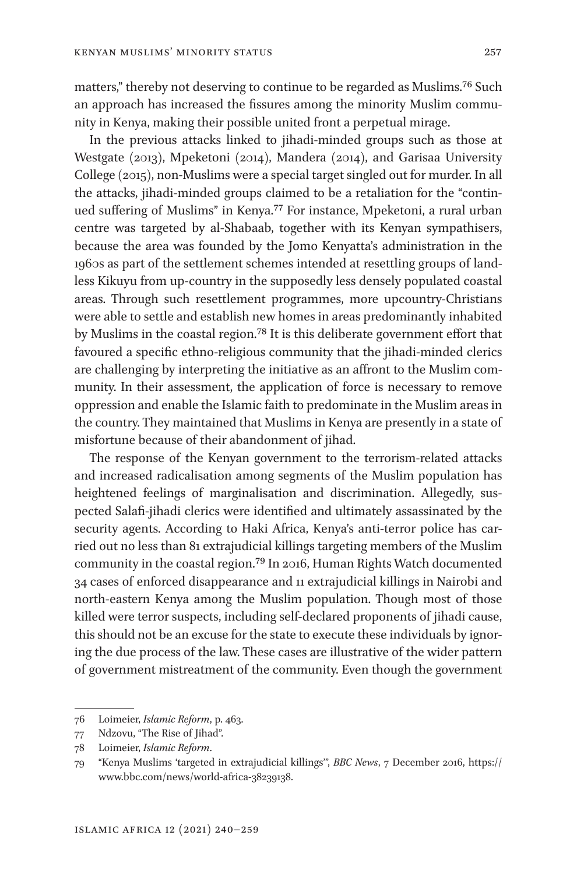matters," thereby not deserving to continue to be regarded as Muslims[.76](#page-17-0) Such an approach has increased the fissures among the minority Muslim community in Kenya, making their possible united front a perpetual mirage.

In the previous attacks linked to jihadi-minded groups such as those at Westgate (2013), Mpeketoni (2014), Mandera (2014), and Garisaa University College (2015), non-Muslims were a special target singled out for murder. In all the attacks, jihadi-minded groups claimed to be a retaliation for the "continued suffering of Muslims" in Kenya.[77](#page-17-1) For instance, Mpeketoni, a rural urban centre was targeted by al-Shabaab, together with its Kenyan sympathisers, because the area was founded by the Jomo Kenyatta's administration in the 1960s as part of the settlement schemes intended at resettling groups of landless Kikuyu from up-country in the supposedly less densely populated coastal areas. Through such resettlement programmes, more upcountry-Christians were able to settle and establish new homes in areas predominantly inhabited by Muslims in the coastal region.[78](#page-17-2) It is this deliberate government effort that favoured a specific ethno-religious community that the jihadi-minded clerics are challenging by interpreting the initiative as an affront to the Muslim community. In their assessment, the application of force is necessary to remove oppression and enable the Islamic faith to predominate in the Muslim areas in the country. They maintained that Muslims in Kenya are presently in a state of misfortune because of their abandonment of jihad.

The response of the Kenyan government to the terrorism-related attacks and increased radicalisation among segments of the Muslim population has heightened feelings of marginalisation and discrimination. Allegedly, suspected Salafi-jihadi clerics were identified and ultimately assassinated by the security agents. According to Haki Africa, Kenya's anti-terror police has carried out no less than 81 extrajudicial killings targeting members of the Muslim community in the coastal region.[79](#page-17-3) In 2016, Human Rights Watch documented 34 cases of enforced disappearance and 11 extrajudicial killings in Nairobi and north-eastern Kenya among the Muslim population. Though most of those killed were terror suspects, including self-declared proponents of jihadi cause, this should not be an excuse for the state to execute these individuals by ignoring the due process of the law. These cases are illustrative of the wider pattern of government mistreatment of the community. Even though the government

<span id="page-17-0"></span><sup>76</sup> Loimeier, *Islamic Reform*, p. 463.

<span id="page-17-1"></span><sup>77</sup> Ndzovu, "The Rise of Jihad".

<span id="page-17-2"></span><sup>78</sup> Loimeier, *Islamic Reform*.

<span id="page-17-3"></span><sup>79</sup> "Kenya Muslims 'targeted in extrajudicial killings'", *BBC News*, 7 December 2016, [https://](https://www.bbc.com/news/world-africa-38239138) [www.bbc.com/news/world-africa-38239138.](https://www.bbc.com/news/world-africa-38239138)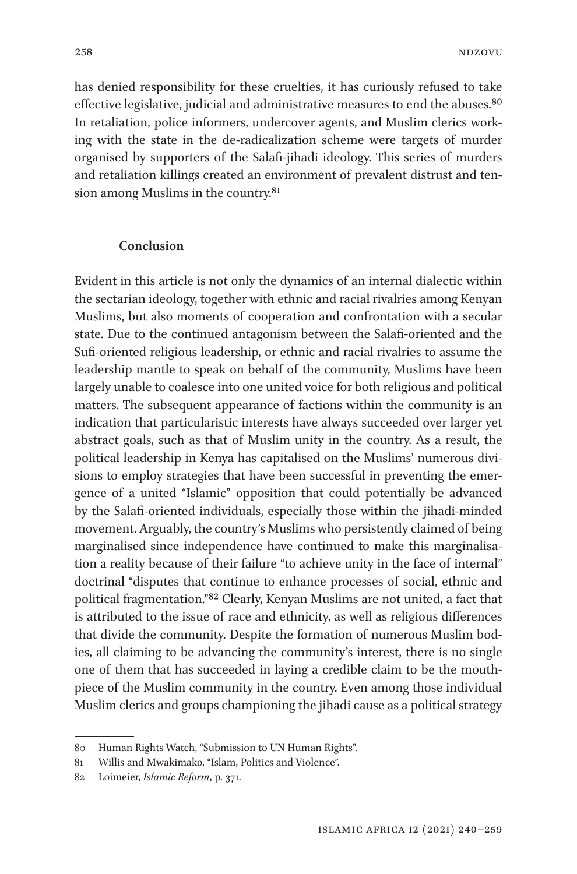has denied responsibility for these cruelties, it has curiously refused to take effective legislative, judicial and administrative measures to end the abuses.<sup>[80](#page-18-0)</sup> In retaliation, police informers, undercover agents, and Muslim clerics working with the state in the de-radicalization scheme were targets of murder organised by supporters of the Salafi-jihadi ideology. This series of murders and retaliation killings created an environment of prevalent distrust and tension among Muslims in the country.[81](#page-18-1)

#### **Conclusion**

Evident in this article is not only the dynamics of an internal dialectic within the sectarian ideology, together with ethnic and racial rivalries among Kenyan Muslims, but also moments of cooperation and confrontation with a secular state. Due to the continued antagonism between the Salafi-oriented and the Sufi-oriented religious leadership, or ethnic and racial rivalries to assume the leadership mantle to speak on behalf of the community, Muslims have been largely unable to coalesce into one united voice for both religious and political matters. The subsequent appearance of factions within the community is an indication that particularistic interests have always succeeded over larger yet abstract goals, such as that of Muslim unity in the country. As a result, the political leadership in Kenya has capitalised on the Muslims' numerous divisions to employ strategies that have been successful in preventing the emergence of a united "Islamic" opposition that could potentially be advanced by the Salafi-oriented individuals, especially those within the jihadi-minded movement. Arguably, the country's Muslims who persistently claimed of being marginalised since independence have continued to make this marginalisation a reality because of their failure "to achieve unity in the face of internal" doctrinal "disputes that continue to enhance processes of social, ethnic and political fragmentation."[82](#page-18-2) Clearly, Kenyan Muslims are not united, a fact that is attributed to the issue of race and ethnicity, as well as religious differences that divide the community. Despite the formation of numerous Muslim bodies, all claiming to be advancing the community's interest, there is no single one of them that has succeeded in laying a credible claim to be the mouthpiece of the Muslim community in the country. Even among those individual Muslim clerics and groups championing the jihadi cause as a political strategy

<span id="page-18-0"></span><sup>80</sup> Human Rights Watch, "Submission to UN Human Rights".

<span id="page-18-1"></span><sup>81</sup> Willis and Mwakimako, "Islam, Politics and Violence".

<span id="page-18-2"></span><sup>82</sup> Loimeier, *Islamic Reform*, p. 371.